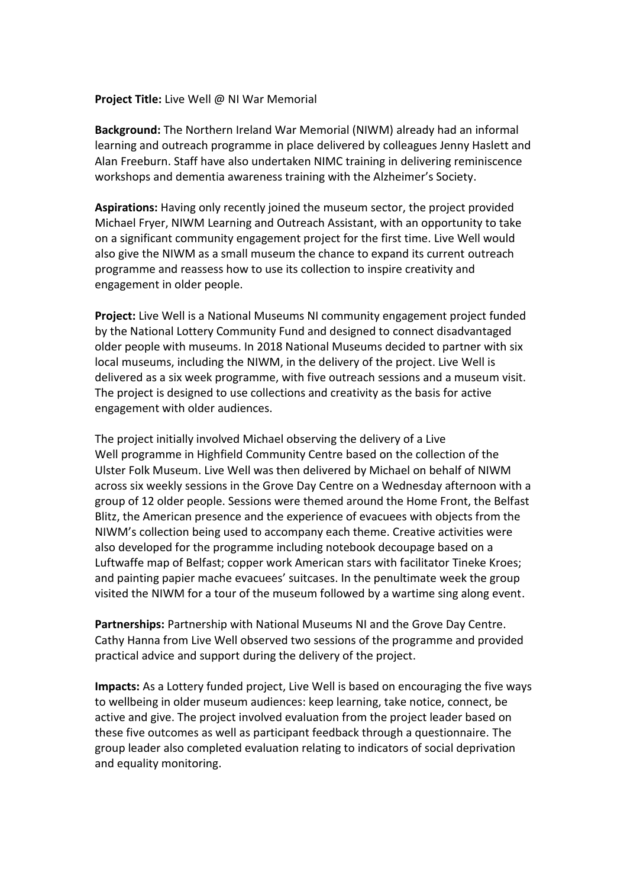## **Project Title:** Live Well @ NI War Memorial

**Background:** The Northern Ireland War Memorial (NIWM) already had an informal learning and outreach programme in place delivered by colleagues Jenny Haslett and Alan Freeburn. Staff have also undertaken NIMC training in delivering reminiscence workshops and dementia awareness training with the Alzheimer's Society.

**Aspirations:** Having only recently joined the museum sector, the project provided Michael Fryer, NIWM Learning and Outreach Assistant, with an opportunity to take on a significant community engagement project for the first time. Live Well would also give the NIWM as a small museum the chance to expand its current outreach programme and reassess how to use its collection to inspire creativity and engagement in older people.

**Project:** Live Well is a National Museums NI community engagement project funded by the National Lottery Community Fund and designed to connect disadvantaged older people with museums. In 2018 National Museums decided to partner with six local museums, including the NIWM, in the delivery of the project. Live Well is delivered as a six week programme, with five outreach sessions and a museum visit. The project is designed to use collections and creativity as the basis for active engagement with older audiences.

The project initially involved Michael observing the delivery of a Live Well programme in Highfield Community Centre based on the collection of the Ulster Folk Museum. Live Well was then delivered by Michael on behalf of NIWM across six weekly sessions in the Grove Day Centre on a Wednesday afternoon with a group of 12 older people. Sessions were themed around the Home Front, the Belfast Blitz, the American presence and the experience of evacuees with objects from the NIWM's collection being used to accompany each theme. Creative activities were also developed for the programme including notebook decoupage based on a Luftwaffe map of Belfast; copper work American stars with facilitator Tineke Kroes; and painting papier mache evacuees' suitcases. In the penultimate week the group visited the NIWM for a tour of the museum followed by a wartime sing along event.

**Partnerships:** Partnership with National Museums NI and the Grove Day Centre. Cathy Hanna from Live Well observed two sessions of the programme and provided practical advice and support during the delivery of the project.

**Impacts:** As a Lottery funded project, Live Well is based on encouraging the five ways to wellbeing in older museum audiences: keep learning, take notice, connect, be active and give. The project involved evaluation from the project leader based on these five outcomes as well as participant feedback through a questionnaire. The group leader also completed evaluation relating to indicators of social deprivation and equality monitoring.